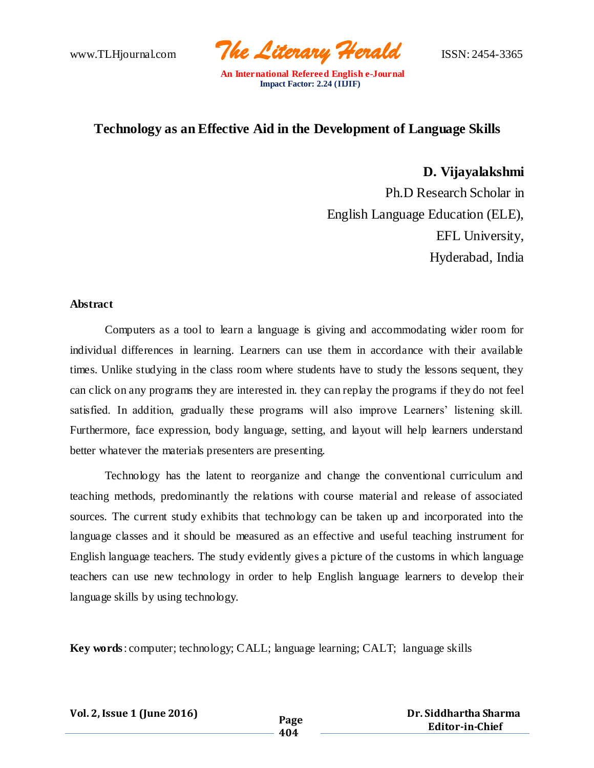www.TLHjournal.com *The Literary Herald*ISSN: 2454-3365

# **Technology as an Effective Aid in the Development of Language Skills**

**D. Vijayalakshmi** Ph.D Research Scholar in English Language Education (ELE), EFL University, Hyderabad, India

# **Abstract**

Computers as a tool to learn a language is giving and accommodating wider room for individual differences in learning. Learners can use them in accordance with their available times. Unlike studying in the class room where students have to study the lessons sequent, they can click on any programs they are interested in. they can replay the programs if they do not feel satisfied. In addition, gradually these programs will also improve Learners' listening skill. Furthermore, face expression, body language, setting, and layout will help learners understand better whatever the materials presenters are presenting.

Technology has the latent to reorganize and change the conventional curriculum and teaching methods, predominantly the relations with course material and release of associated sources. The current study exhibits that technology can be taken up and incorporated into the language classes and it should be measured as an effective and useful teaching instrument for English language teachers. The study evidently gives a picture of the customs in which language teachers can use new technology in order to help English language learners to develop their language skills by using technology.

**Key words**: computer; technology; CALL; language learning; CALT; language skills

| Vol. 2, Issue 1 (June 2016) | Page |
|-----------------------------|------|
|-----------------------------|------|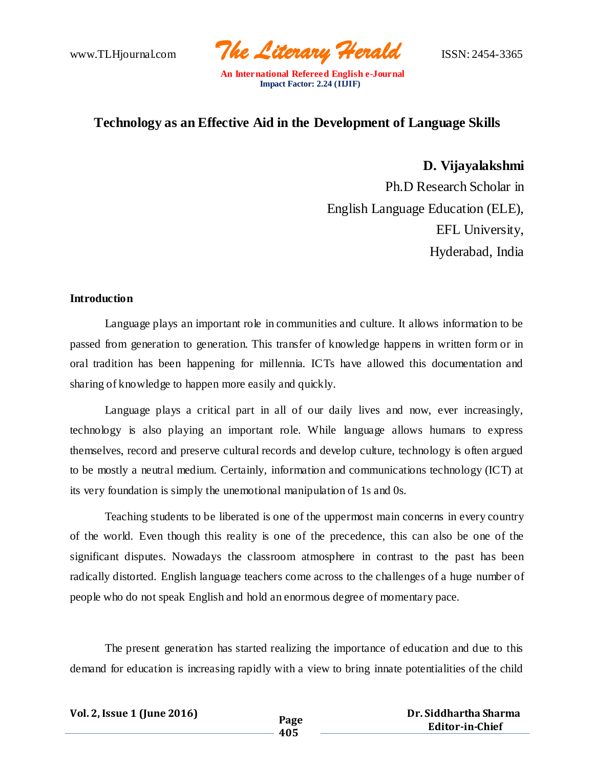www.TLHjournal.com *The Literary Herald*ISSN: 2454-3365

# **Technology as an Effective Aid in the Development of Language Skills**

**D. Vijayalakshmi** Ph.D Research Scholar in English Language Education (ELE), EFL University, Hyderabad, India

### **Introduction**

Language plays an important role in communities and culture. It allows information to be passed from generation to generation. This transfer of knowledge happens in written form or in oral tradition has been happening for millennia. ICTs have allowed this documentation and sharing of knowledge to happen more easily and quickly.

Language plays a critical part in all of our daily lives and now, ever increasingly, technology is also playing an important role. While language allows humans to express themselves, record and preserve cultural records and develop culture, technology is often argued to be mostly a neutral medium. Certainly, information and communications technology (ICT) at its very foundation is simply the unemotional manipulation of 1s and 0s.

Teaching students to be liberated is one of the uppermost main concerns in every country of the world. Even though this reality is one of the precedence, this can also be one of the significant disputes. Nowadays the classroom atmosphere in contrast to the past has been radically distorted. English language teachers come across to the challenges of a huge number of people who do not speak English and hold an enormous degree of momentary pace.

The present generation has started realizing the importance of education and due to this demand for education is increasing rapidly with a view to bring innate potentialities of the child

| Vol. 2, Issue 1 (June 2016) | Page |
|-----------------------------|------|
|                             |      |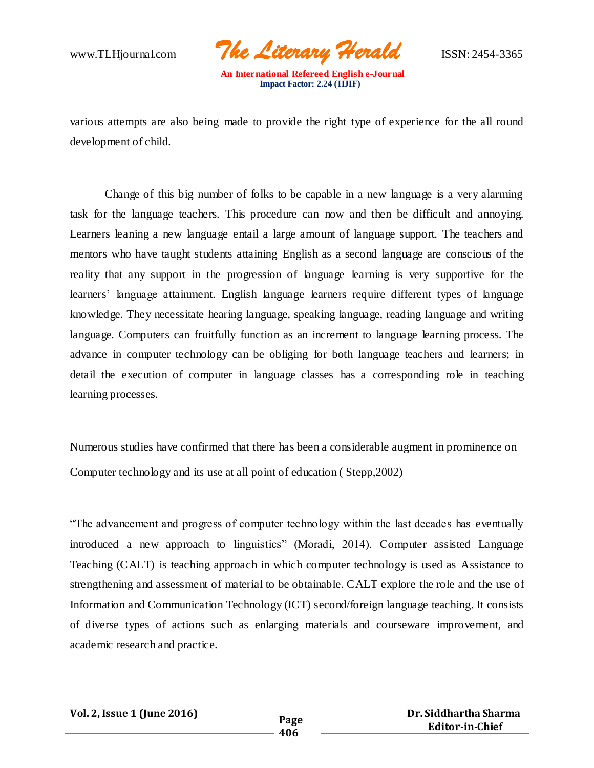www.TLHjournal.com *The Literary Herald*ISSN: 2454-3365

various attempts are also being made to provide the right type of experience for the all round development of child.

Change of this big number of folks to be capable in a new language is a very alarming task for the language teachers. This procedure can now and then be difficult and annoying. Learners leaning a new language entail a large amount of language support. The teachers and mentors who have taught students attaining English as a second language are conscious of the reality that any support in the progression of language learning is very supportive for the learners' language attainment. English language learners require different types of language knowledge. They necessitate hearing language, speaking language, reading language and writing language. Computers can fruitfully function as an increment to language learning process. The advance in computer technology can be obliging for both language teachers and learners; in detail the execution of computer in language classes has a corresponding role in teaching learning processes.

Numerous studies have confirmed that there has been a considerable augment in prominence on Computer technology and its use at all point of education ( Stepp,2002)

"The advancement and progress of computer technology within the last decades has eventually introduced a new approach to linguistics" (Moradi, 2014). Computer assisted Language Teaching (CALT) is teaching approach in which computer technology is used as Assistance to strengthening and assessment of material to be obtainable. CALT explore the role and the use of Information and Communication Technology (ICT) second/foreign language teaching. It consists of diverse types of actions such as enlarging materials and courseware improvement, and academic research and practice.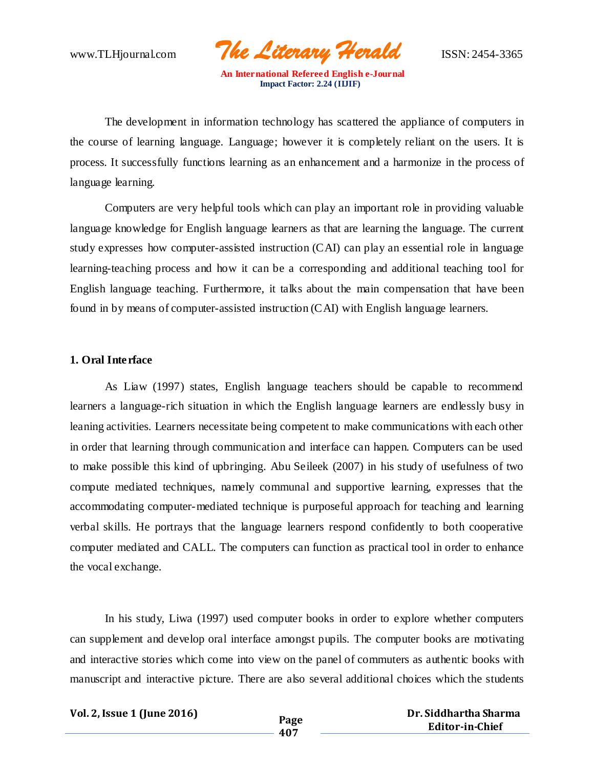www.TLHjournal.com *The Literary Herald*ISSN: 2454-3365

The development in information technology has scattered the appliance of computers in the course of learning language. Language; however it is completely reliant on the users. It is process. It successfully functions learning as an enhancement and a harmonize in the process of language learning.

Computers are very helpful tools which can play an important role in providing valuable language knowledge for English language learners as that are learning the language. The current study expresses how computer-assisted instruction (CAI) can play an essential role in language learning-teaching process and how it can be a corresponding and additional teaching tool for English language teaching. Furthermore, it talks about the main compensation that have been found in by means of computer-assisted instruction (CAI) with English language learners.

### **1. Oral Interface**

As Liaw (1997) states, English language teachers should be capable to recommend learners a language-rich situation in which the English language learners are endlessly busy in leaning activities. Learners necessitate being competent to make communications with each other in order that learning through communication and interface can happen. Computers can be used to make possible this kind of upbringing. Abu Seileek (2007) in his study of usefulness of two compute mediated techniques, namely communal and supportive learning, expresses that the accommodating computer-mediated technique is purposeful approach for teaching and learning verbal skills. He portrays that the language learners respond confidently to both cooperative computer mediated and CALL. The computers can function as practical tool in order to enhance the vocal exchange.

In his study, Liwa (1997) used computer books in order to explore whether computers can supplement and develop oral interface amongst pupils. The computer books are motivating and interactive stories which come into view on the panel of commuters as authentic books with manuscript and interactive picture. There are also several additional choices which the students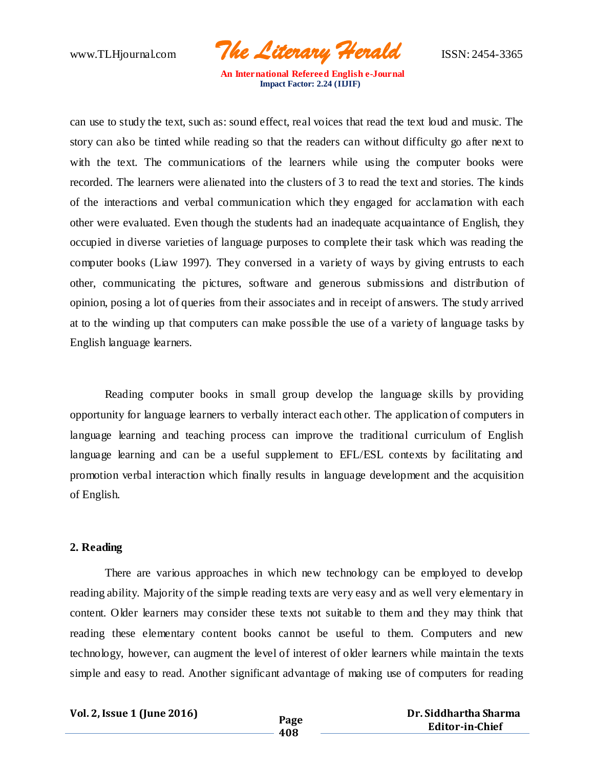www.TLHjournal.com *The Literary Herald*ISSN: 2454-3365

can use to study the text, such as: sound effect, real voices that read the text loud and music. The story can also be tinted while reading so that the readers can without difficulty go after next to with the text. The communications of the learners while using the computer books were recorded. The learners were alienated into the clusters of 3 to read the text and stories. The kinds of the interactions and verbal communication which they engaged for acclamation with each other were evaluated. Even though the students had an inadequate acquaintance of English, they occupied in diverse varieties of language purposes to complete their task which was reading the computer books (Liaw 1997). They conversed in a variety of ways by giving entrusts to each other, communicating the pictures, software and generous submissions and distribution of opinion, posing a lot of queries from their associates and in receipt of answers. The study arrived at to the winding up that computers can make possible the use of a variety of language tasks by English language learners.

Reading computer books in small group develop the language skills by providing opportunity for language learners to verbally interact each other. The application of computers in language learning and teaching process can improve the traditional curriculum of English language learning and can be a useful supplement to EFL/ESL contexts by facilitating and promotion verbal interaction which finally results in language development and the acquisition of English.

#### **2. Reading**

There are various approaches in which new technology can be employed to develop reading ability. Majority of the simple reading texts are very easy and as well very elementary in content. Older learners may consider these texts not suitable to them and they may think that reading these elementary content books cannot be useful to them. Computers and new technology, however, can augment the level of interest of older learners while maintain the texts simple and easy to read. Another significant advantage of making use of computers for reading

**Vol. 2,Issue 1 (June 2016) Page**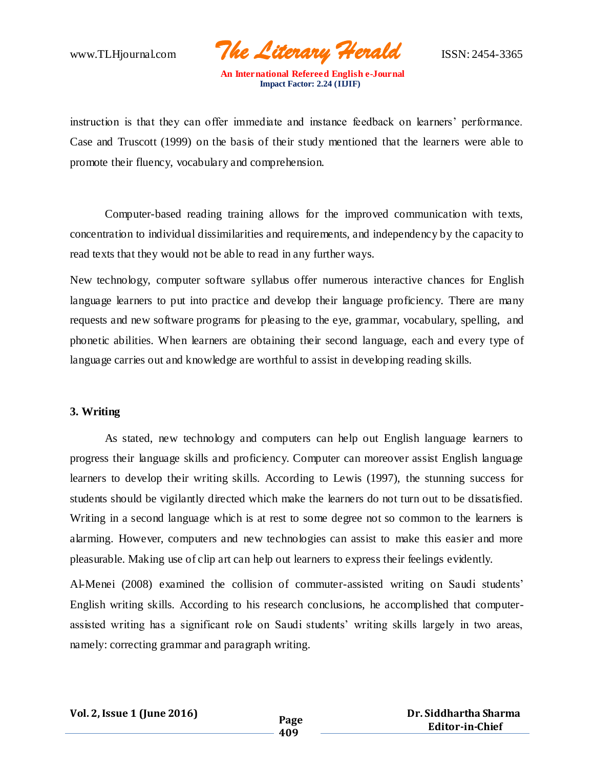www.TLHjournal.com *The Literary Herald*ISSN: 2454-3365

instruction is that they can offer immediate and instance feedback on learners' performance. Case and Truscott (1999) on the basis of their study mentioned that the learners were able to promote their fluency, vocabulary and comprehension.

Computer-based reading training allows for the improved communication with texts, concentration to individual dissimilarities and requirements, and independency by the capacity to read texts that they would not be able to read in any further ways.

New technology, computer software syllabus offer numerous interactive chances for English language learners to put into practice and develop their language proficiency. There are many requests and new software programs for pleasing to the eye, grammar, vocabulary, spelling, and phonetic abilities. When learners are obtaining their second language, each and every type of language carries out and knowledge are worthful to assist in developing reading skills.

#### **3. Writing**

As stated, new technology and computers can help out English language learners to progress their language skills and proficiency. Computer can moreover assist English language learners to develop their writing skills. According to Lewis (1997), the stunning success for students should be vigilantly directed which make the learners do not turn out to be dissatisfied. Writing in a second language which is at rest to some degree not so common to the learners is alarming. However, computers and new technologies can assist to make this easier and more pleasurable. Making use of clip art can help out learners to express their feelings evidently.

Al-Menei (2008) examined the collision of commuter-assisted writing on Saudi students' English writing skills. According to his research conclusions, he accomplished that computerassisted writing has a significant role on Saudi students' writing skills largely in two areas, namely: correcting grammar and paragraph writing.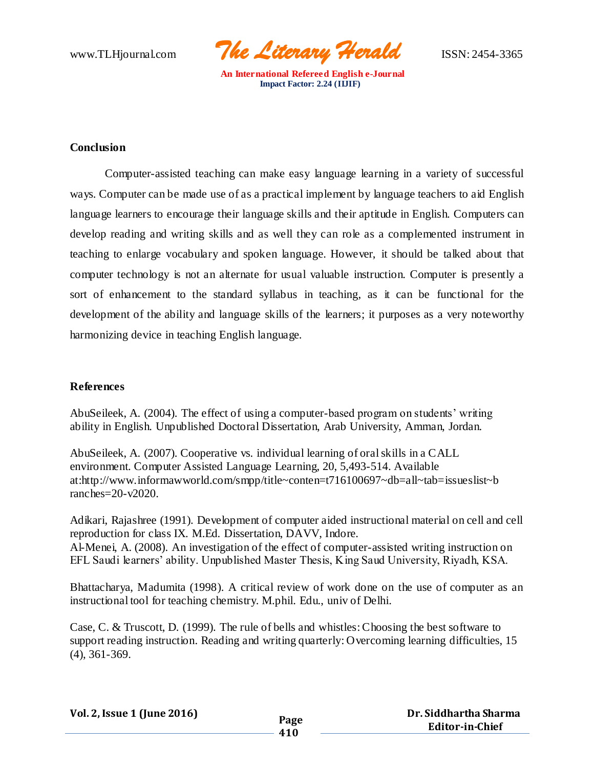www.TLHjournal.com *The Literary Herald*ISSN: 2454-3365

# **Conclusion**

Computer-assisted teaching can make easy language learning in a variety of successful ways. Computer can be made use of as a practical implement by language teachers to aid English language learners to encourage their language skills and their aptitude in English. Computers can develop reading and writing skills and as well they can role as a complemented instrument in teaching to enlarge vocabulary and spoken language. However, it should be talked about that computer technology is not an alternate for usual valuable instruction. Computer is presently a sort of enhancement to the standard syllabus in teaching, as it can be functional for the development of the ability and language skills of the learners; it purposes as a very noteworthy harmonizing device in teaching English language.

## **References**

AbuSeileek, A. (2004). The effect of using a computer-based program on students' writing ability in English. Unpublished Doctoral Dissertation, Arab University, Amman, Jordan.

AbuSeileek, A. (2007). Cooperative vs. individual learning of oral skills in a CALL environment. Computer Assisted Language Learning, 20, 5,493-514. Available at:http://www.informawworld.com/smpp/title~conten=t716100697~db=all~tab=issueslist~b ranches=20-v2020.

Adikari, Rajashree (1991). Development of computer aided instructional material on cell and cell reproduction for class IX. M.Ed. Dissertation, DAVV, Indore. Al-Menei, A. (2008). An investigation of the effect of computer-assisted writing instruction on EFL Saudi learners' ability. Unpublished Master Thesis, King Saud University, Riyadh, KSA.

Bhattacharya, Madumita (1998). A critical review of work done on the use of computer as an instructional tool for teaching chemistry. M.phil. Edu., univ of Delhi.

Case, C. & Truscott, D. (1999). The rule of bells and whistles: Choosing the best software to support reading instruction. Reading and writing quarterly: Overcoming learning difficulties, 15 (4), 361-369.

| Vol. 2, Issue 1 (June 2016) | Page |
|-----------------------------|------|
|-----------------------------|------|